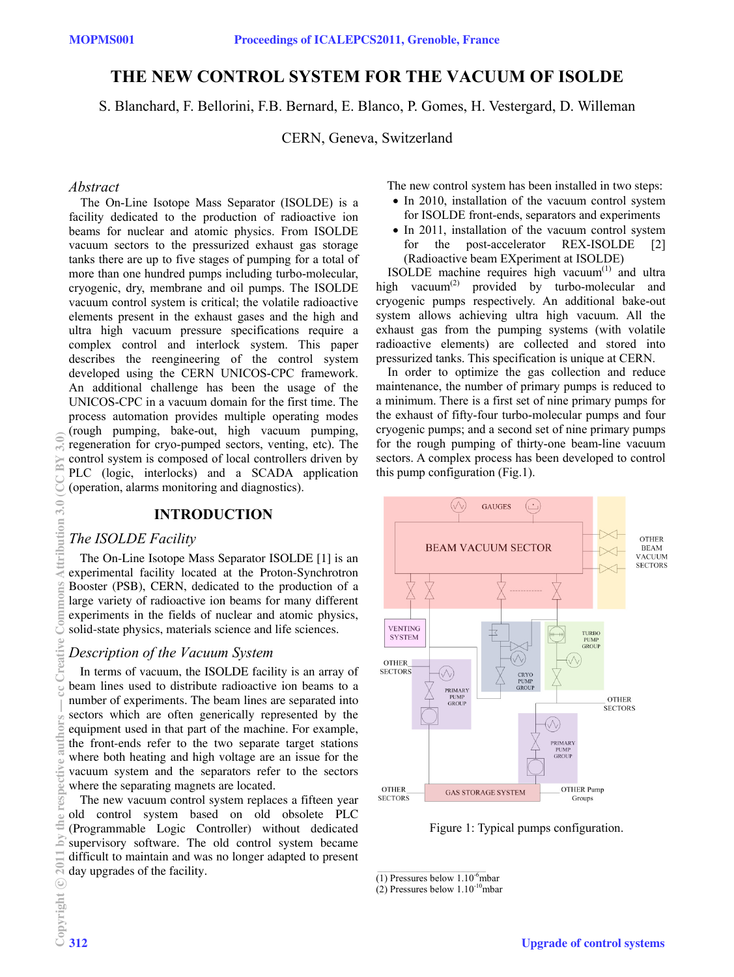# **THE NEW CONTROL SYSTEM FOR THE VACUUM OF ISOLDE**

S. Blanchard, F. Bellorini, F.B. Bernard, E. Blanco, P. Gomes, H. Vestergard, D. Willeman

CERN, Geneva, Switzerland

#### *Abstract*

The On-Line Isotope Mass Separator (ISOLDE) is a facility dedicated to the production of radioactive ion beams for nuclear and atomic physics. From ISOLDE vacuum sectors to the pressurized exhaust gas storage tanks there are up to five stages of pumping for a total of more than one hundred pumps including turbo-molecular, cryogenic, dry, membrane and oil pumps. The ISOLDE vacuum control system is critical; the volatile radioactive elements present in the exhaust gases and the high and ultra high vacuum pressure specifications require a complex control and interlock system. This paper describes the reengineering of the control system developed using the CERN UNICOS-CPC framework. An additional challenge has been the usage of the UNICOS-CPC in a vacuum domain for the first time. The process automation provides multiple operating modes (rough pumping, bake-out, high vacuum pumping, regeneration for cryo-pumped sectors, venting, etc). The control system is composed of local controllers driven by PLC (logic, interlocks) and a SCADA application (operation, alarms monitoring and diagnostics).

### **INTRODUCTION**

#### *The ISOLDE Facility*

The On-Line Isotope Mass Separator ISOLDE [1] is an experimental facility located at the Proton-Synchrotron Booster (PSB), CERN, dedicated to the production of a large variety of radioactive ion beams for many different experiments in the fields of nuclear and atomic physics, solid-state physics, materials science and life sciences.

#### *Description of the Vacuum System*

In terms of vacuum, the ISOLDE facility is an array of beam lines used to distribute radioactive ion beams to a number of experiments. The beam lines are separated into sectors which are often generically represented by the equipment used in that part of the machine. For example, the front-ends refer to the two separate target stations where both heating and high voltage are an issue for the vacuum system and the separators refer to the sectors where the separating magnets are located.

The new vacuum control system replaces a fifteen year old control system based on old obsolete PLC (Programmable Logic Controller) without dedicated supervisory software. The old control system became difficult to maintain and was no longer adapted to present day upgrades of the facility.

The new control system has been installed in two steps:

- In 2010, installation of the vacuum control system for ISOLDE front-ends, separators and experiments
- In 2011, installation of the vacuum control system for the post-accelerator REX-ISOLDE [2] (Radioactive beam EXperiment at ISOLDE)

ISOLDE machine requires high vacuum $(1)$  and ultra high vacuum<sup>(2)</sup> provided by turbo-molecular and cryogenic pumps respectively. An additional bake-out system allows achieving ultra high vacuum. All the exhaust gas from the pumping systems (with volatile radioactive elements) are collected and stored into pressurized tanks. This specification is unique at CERN.

In order to optimize the gas collection and reduce maintenance, the number of primary pumps is reduced to a minimum. There is a first set of nine primary pumps for the exhaust of fifty-four turbo-molecular pumps and four cryogenic pumps; and a second set of nine primary pumps for the rough pumping of thirty-one beam-line vacuum sectors. A complex process has been developed to control this pump configuration (Fig.1).



Figure 1: Typical pumps configuration.

 $\overline{(1)$  Pressures below  $1.10^{-6}$ mbar

<sup>(2)</sup> Pressures below  $1.10^{-10}$ mbar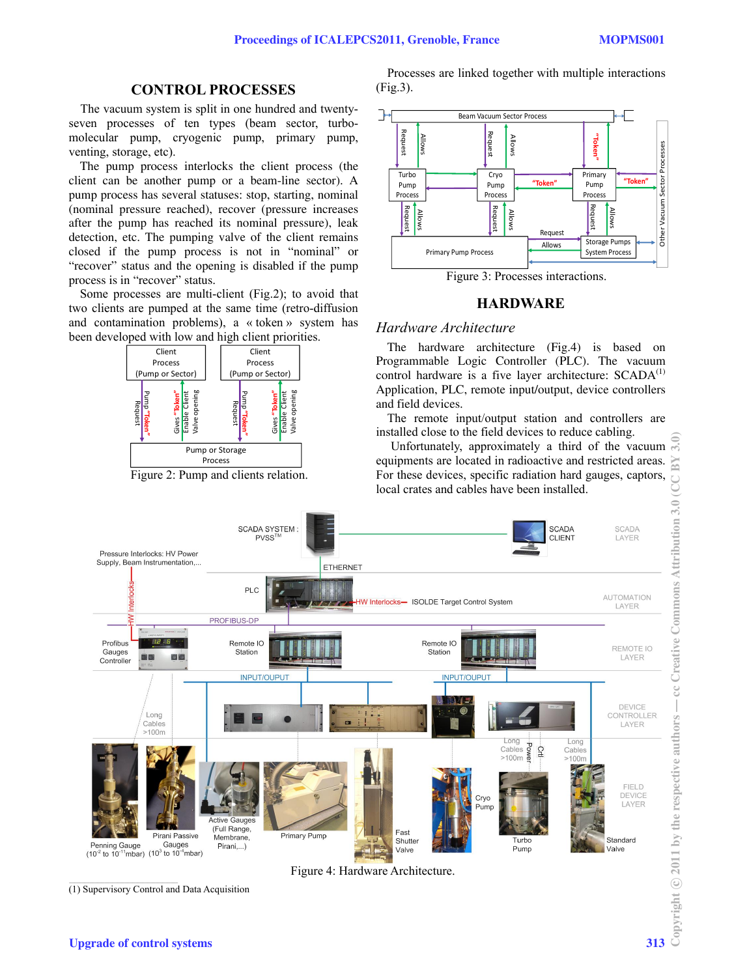#### **CONTROL PROCESSES**

The vacuum system is split in one hundred and twentyseven processes of ten types (beam sector, turbomolecular pump, cryogenic pump, primary pump, venting, storage, etc).

The pump process interlocks the client process (the client can be another pump or a beam-line sector). A pump process has several statuses: stop, starting, nominal (nominal pressure reached), recover (pressure increases after the pump has reached its nominal pressure), leak detection, etc. The pumping valve of the client remains closed if the pump process is not in "nominal" or "recover" status and the opening is disabled if the pump process is in "recover" status.

Some processes are multi-client (Fig.2); to avoid that two clients are pumped at the same time (retro-diffusion and contamination problems), a « token » system has been developed with low and high client priorities.



Figure 2: Pump and clients relation.

Processes are linked together with multiple interactions (Fig.3).



Figure 3: Processes interactions.

#### **HARDWARE**

#### *Hardware Architecture*

The hardware architecture (Fig.4) is based on Programmable Logic Controller (PLC). The vacuum control hardware is a five layer architecture:  $SCADA<sup>(1)</sup>$ Application, PLC, remote input/output, device controllers and field devices.

The remote input/output station and controllers are installed close to the field devices to reduce cabling.

 Unfortunately, approximately a third of the vacuum equipments are located in radioactive and restricted areas. For these devices, specific radiation hard gauges, captors, local crates and cables have been installed.



(1) Supervisory Control and Data Acquisition

Figure 4: Hardware Architecture.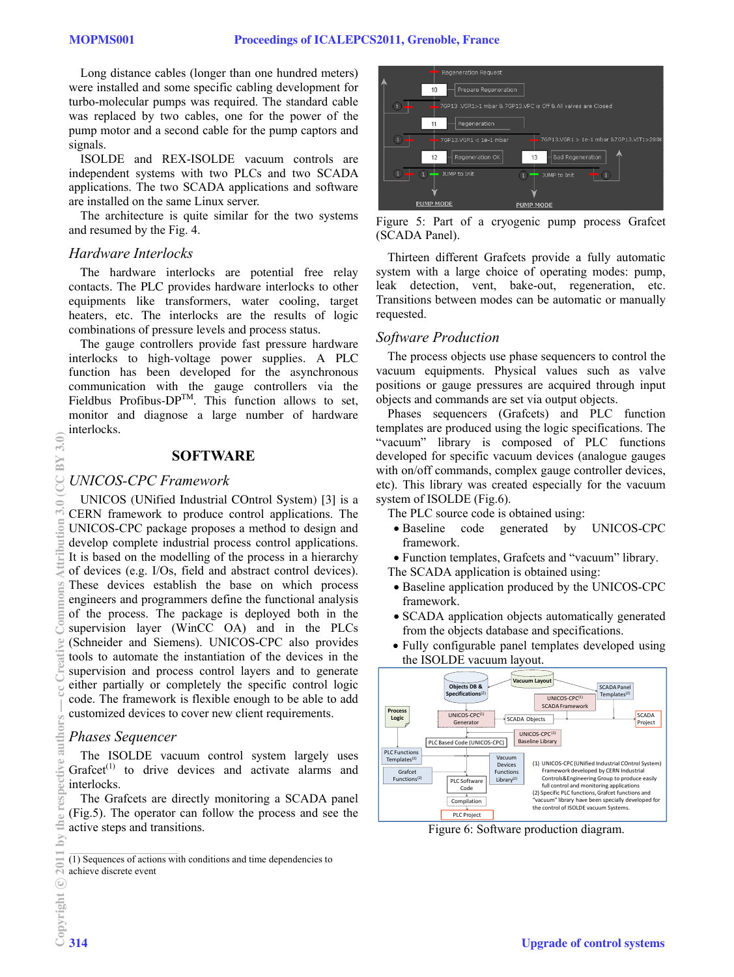Long distance cables (longer than one hundred meters) were installed and some specific cabling development for turbo-molecular pumps was required. The standard cable was replaced by two cables, one for the power of the pump motor and a second cable for the pump captors and signals.

ISOLDE and REX-ISOLDE vacuum controls are independent systems with two PLCs and two SCADA applications. The two SCADA applications and software are installed on the same Linux server.

The architecture is quite similar for the two systems and resumed by the Fig. 4.

### *Hardware Interlocks*

The hardware interlocks are potential free relay contacts. The PLC provides hardware interlocks to other equipments like transformers, water cooling, target heaters, etc. The interlocks are the results of logic combinations of pressure levels and process status.

The gauge controllers provide fast pressure hardware interlocks to high-voltage power supplies. A PLC function has been developed for the asynchronous communication with the gauge controllers via the Fieldbus Profibus- $DP^{TM}$ . This function allows to set, monitor and diagnose a large number of hardware interlocks.

#### **SOFTWARE**

#### *UNICOS-CPC Framework*

UNICOS (UNified Industrial COntrol System) [3] is a CERN framework to produce control applications. The UNICOS-CPC package proposes a method to design and develop complete industrial process control applications. It is based on the modelling of the process in a hierarchy of devices (e.g. I/Os, field and abstract control devices). These devices establish the base on which process engineers and programmers define the functional analysis of the process. The package is deployed both in the supervision layer (WinCC OA) and in the PLCs (Schneider and Siemens). UNICOS-CPC also provides tools to automate the instantiation of the devices in the supervision and process control layers and to generate either partially or completely the specific control logic code. The framework is flexible enough to be able to add customized devices to cover new client requirements.

### *Phases Sequencer*

The ISOLDE vacuum control system largely uses Grafcet<sup> $(1)$ </sup> to drive devices and activate alarms and interlocks.

The Grafcets are directly monitoring a SCADA panel (Fig.5). The operator can follow the process and see the active steps and transitions.

(1) Sequences of actions with conditions and time dependencies to achieve discrete event



Figure 5: Part of a cryogenic pump process Grafcet (SCADA Panel).

Thirteen different Grafcets provide a fully automatic system with a large choice of operating modes: pump, leak detection, vent, bake-out, regeneration, etc. Transitions between modes can be automatic or manually requested.

#### *Software Production*

The process objects use phase sequencers to control the vacuum equipments. Physical values such as valve positions or gauge pressures are acquired through input objects and commands are set via output objects.

Phases sequencers (Grafcets) and PLC function templates are produced using the logic specifications. The "vacuum" library is composed of PLC functions developed for specific vacuum devices (analogue gauges with on/off commands, complex gauge controller devices, etc). This library was created especially for the vacuum system of ISOLDE (Fig.6).

The PLC source code is obtained using:

- Baseline code generated by UNICOS-CPC framework.
- Function templates, Grafcets and "vacuum" library.

The SCADA application is obtained using:

- Baseline application produced by the UNICOS-CPC framework.
- SCADA application objects automatically generated from the objects database and specifications.
- Fully configurable panel templates developed using the ISOLDE vacuum layout.



Figure 6: Software production diagram.